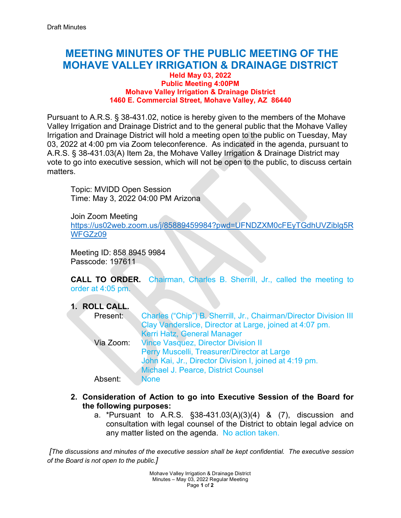# **MEETING MINUTES OF THE PUBLIC MEETING OF THE MOHAVE VALLEY IRRIGATION & DRAINAGE DISTRICT**

#### **Held May 03, 2022 Public Meeting 4:00PM Mohave Valley Irrigation & Drainage District 1460 E. Commercial Street, Mohave Valley, AZ 86440**

Pursuant to A.R.S. § 38-431.02, notice is hereby given to the members of the Mohave Valley Irrigation and Drainage District and to the general public that the Mohave Valley Irrigation and Drainage District will hold a meeting open to the public on Tuesday, May 03, 2022 at 4:00 pm via Zoom teleconference. As indicated in the agenda, pursuant to A.R.S. § 38-431.03(A) Item 2a, the Mohave Valley Irrigation & Drainage District may vote to go into executive session, which will not be open to the public, to discuss certain matters.

Topic: MVIDD Open Session Time: May 3, 2022 04:00 PM Arizona

Join Zoom Meeting [https://us02web.zoom.us/j/85889459984?pwd=UFNDZXM0cFEyTGdhUVZiblg5R](https://us02web.zoom.us/j/85889459984?pwd=UFNDZXM0cFEyTGdhUVZiblg5RWFGZz09) [WFGZz09](https://us02web.zoom.us/j/85889459984?pwd=UFNDZXM0cFEyTGdhUVZiblg5RWFGZz09)

Meeting ID: 858 8945 9984 Passcode: 197611

**CALL TO ORDER.** Chairman, Charles B. Sherrill, Jr., called the meeting to order at 4:05 pm.

**1. ROLL CALL.**

| Present:  | Charles ("Chip") B. Sherrill, Jr., Chairman/Director Division III<br>Clay Vanderslice, Director at Large, joined at 4:07 pm. |
|-----------|------------------------------------------------------------------------------------------------------------------------------|
|           | Kerri Hatz, General Manager                                                                                                  |
| Via Zoom: | <b>Vince Vasquez, Director Division II</b>                                                                                   |
|           | Perry Muscelli, Treasurer/Director at Large                                                                                  |
|           | John Kai, Jr., Director Division I, joined at 4:19 pm.                                                                       |
|           | Michael J. Pearce, District Counsel                                                                                          |
| Absent:   | <b>None</b>                                                                                                                  |

- **2. Consideration of Action to go into Executive Session of the Board for the following purposes:** 
	- a. \*Pursuant to A.R.S. §38-431.03(A)(3)(4) & (7), discussion and consultation with legal counsel of the District to obtain legal advice on any matter listed on the agenda. No action taken.

*[The discussions and minutes of the executive session shall be kept confidential. The executive session of the Board is not open to the public.]*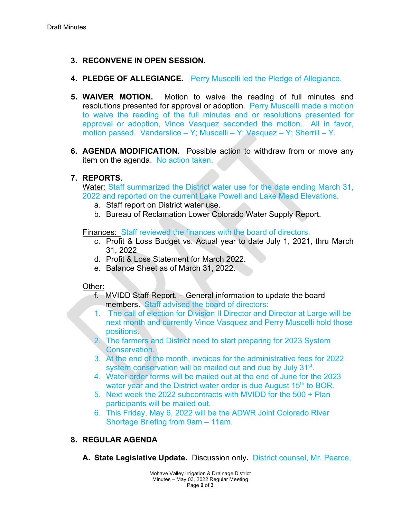# **3. RECONVENE IN OPEN SESSION.**

- **4. PLEDGE OF ALLEGIANCE.** Perry Muscelli led the Pledge of Allegiance.
- **5. WAIVER MOTION.** Motion to waive the reading of full minutes and resolutions presented for approval or adoption. Perry Muscelli made a motion to waive the reading of the full minutes and or resolutions presented for approval or adoption, Vince Vasquez seconded the motion. All in favor, motion passed. Vanderslice – Y; Muscelli – Y; Vasquez – Y; Sherrill – Y.
- **6. AGENDA MODIFICATION.** Possible action to withdraw from or move any item on the agenda. No action taken.

### **7. REPORTS.**

Water: Staff summarized the District water use for the date ending March 31, 2022 and reported on the current Lake Powell and Lake Mead Elevations.

- a. Staff report on District water use.
- b. Bureau of Reclamation Lower Colorado Water Supply Report.

Finances: Staff reviewed the finances with the board of directors.

- c. Profit & Loss Budget vs. Actual year to date July 1, 2021, thru March 31, 2022
- d. Profit & Loss Statement for March 2022.
- e. Balance Sheet as of March 31, 2022.

#### Other:

- f. MVIDD Staff Report. General information to update the board members. Staff advised the board of directors:
- 1. The call of election for Division II Director and Director at Large will be next month and currently Vince Vasquez and Perry Muscelli hold those positions.
- 2. The farmers and District need to start preparing for 2023 System Conservation.
- 3. At the end of the month, invoices for the administrative fees for 2022 system conservation will be mailed out and due by July 31<sup>st</sup>.
- 4. Water order forms will be mailed out at the end of June for the 2023 water year and the District water order is due August 15<sup>th</sup> to BOR.
- 5. Next week the 2022 subcontracts with MVIDD for the 500 + Plan participants will be mailed out.
- 6. This Friday, May 6, 2022 will be the ADWR Joint Colorado River Shortage Briefing from 9am – 11am.

# **8. REGULAR AGENDA**

**A. State Legislative Update.** Discussion only**.** District counsel, Mr. Pearce,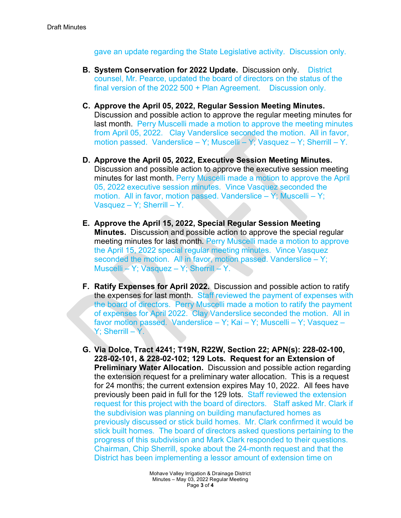gave an update regarding the State Legislative activity. Discussion only.

- **B. System Conservation for 2022 Update.** Discussion only. District counsel, Mr. Pearce, updated the board of directors on the status of the final version of the 2022 500 + Plan Agreement. Discussion only.
- **C. Approve the April 05, 2022, Regular Session Meeting Minutes.**  Discussion and possible action to approve the regular meeting minutes for last month. Perry Muscelli made a motion to approve the meeting minutes from April 05, 2022. Clay Vanderslice seconded the motion. All in favor, motion passed. Vanderslice – Y; Muscelli – Y; Vasquez – Y; Sherrill – Y.
- **D. Approve the April 05, 2022, Executive Session Meeting Minutes.** Discussion and possible action to approve the executive session meeting minutes for last month. Perry Muscelli made a motion to approve the April 05, 2022 executive session minutes. Vince Vasquez seconded the motion. All in favor, motion passed. Vanderslice – Y; Muscelli – Y; Vasquez – Y; Sherrill – Y.
- **E. Approve the April 15, 2022, Special Regular Session Meeting Minutes.** Discussion and possible action to approve the special regular meeting minutes for last month. Perry Muscelli made a motion to approve the April 15, 2022 special regular meeting minutes. Vince Vasquez seconded the motion. All in favor, motion passed. Vanderslice – Y; Muscelli – Y; Vasquez – Y; Sherrill – Y.
- **F. Ratify Expenses for April 2022.** Discussion and possible action to ratify the expenses for last month. Staff reviewed the payment of expenses with the board of directors. Perry Muscelli made a motion to ratify the payment of expenses for April 2022. Clay Vanderslice seconded the motion. All in favor motion passed. Vanderslice – Y; Kai – Y; Muscelli – Y; Vasquez – Y: Sherrill – Y.
- **G. Via Dolce, Tract 4241; T19N, R22W, Section 22; APN(s): 228-02-100, 228-02-101, & 228-02-102; 129 Lots. Request for an Extension of Preliminary Water Allocation.** Discussion and possible action regarding the extension request for a preliminary water allocation. This is a request for 24 months; the current extension expires May 10, 2022. All fees have previously been paid in full for the 129 lots. Staff reviewed the extension request for this project with the board of directors. Staff asked Mr. Clark if the subdivision was planning on building manufactured homes as previously discussed or stick build homes. Mr. Clark confirmed it would be stick built homes. The board of directors asked questions pertaining to the progress of this subdivision and Mark Clark responded to their questions. Chairman, Chip Sherrill, spoke about the 24-month request and that the District has been implementing a lessor amount of extension time on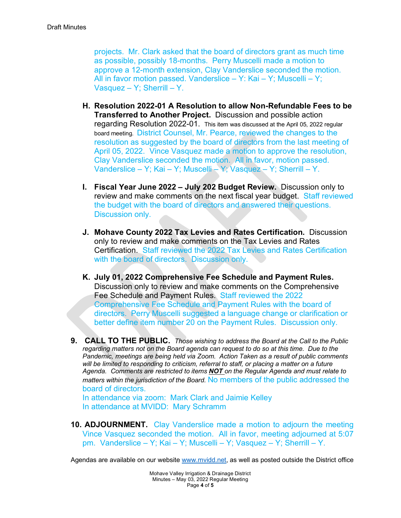projects. Mr. Clark asked that the board of directors grant as much time as possible, possibly 18-months. Perry Muscelli made a motion to approve a 12-month extension, Clay Vanderslice seconded the motion. All in favor motion passed. Vanderslice – Y: Kai – Y; Muscelli – Y; Vasquez – Y; Sherrill – Y.

- **H. Resolution 2022-01 A Resolution to allow Non-Refundable Fees to be Transferred to Another Project.** Discussion and possible action regarding Resolution 2022-01. This item was discussed at the April 05, 2022 regular board meeting. District Counsel, Mr. Pearce, reviewed the changes to the resolution as suggested by the board of directors from the last meeting of April 05, 2022. Vince Vasquez made a motion to approve the resolution, Clay Vanderslice seconded the motion. All in favor, motion passed. Vanderslice – Y; Kai – Y; Muscelli – Y; Vasquez – Y; Sherrill – Y.
- **I. Fiscal Year June 2022 – July 202 Budget Review.** Discussion only to review and make comments on the next fiscal year budget. Staff reviewed the budget with the board of directors and answered their questions. Discussion only.
- **J. Mohave County 2022 Tax Levies and Rates Certification.** Discussion only to review and make comments on the Tax Levies and Rates Certification. Staff reviewed the 2022 Tax Levies and Rates Certification with the board of directors. Discussion only.
- **K. July 01, 2022 Comprehensive Fee Schedule and Payment Rules.** Discussion only to review and make comments on the Comprehensive Fee Schedule and Payment Rules. Staff reviewed the 2022 Comprehensive Fee Schedule and Payment Rules with the board of directors. Perry Muscelli suggested a language change or clarification or better define item number 20 on the Payment Rules. Discussion only.
- **9. CALL TO THE PUBLIC.** *Those wishing to address the Board at the Call to the Public regarding matters not on the Board agenda can request to do so at this time. Due to the Pandemic, meetings are being held via Zoom. Action Taken as a result of public comments*  will be limited to responding to criticism, referral to staff, or placing a matter on a future *Agenda. Comments are restricted to items NOT on the Regular Agenda and must relate to matters within the jurisdiction of the Board.* No members of the public addressed the board of directors.

In attendance via zoom: Mark Clark and Jaimie Kelley In attendance at MVIDD: Mary Schramm

**10. ADJOURNMENT.** Clay Vanderslice made a motion to adjourn the meeting Vince Vasquez seconded the motion. All in favor, meeting adjourned at 5:07 pm. Vanderslice – Y; Kai – Y; Muscelli – Y; Vasquez – Y; Sherrill – Y.

Agendas are available on our website [www.mvidd.net,](http://www.mvidd.net/) as well as posted outside the District office